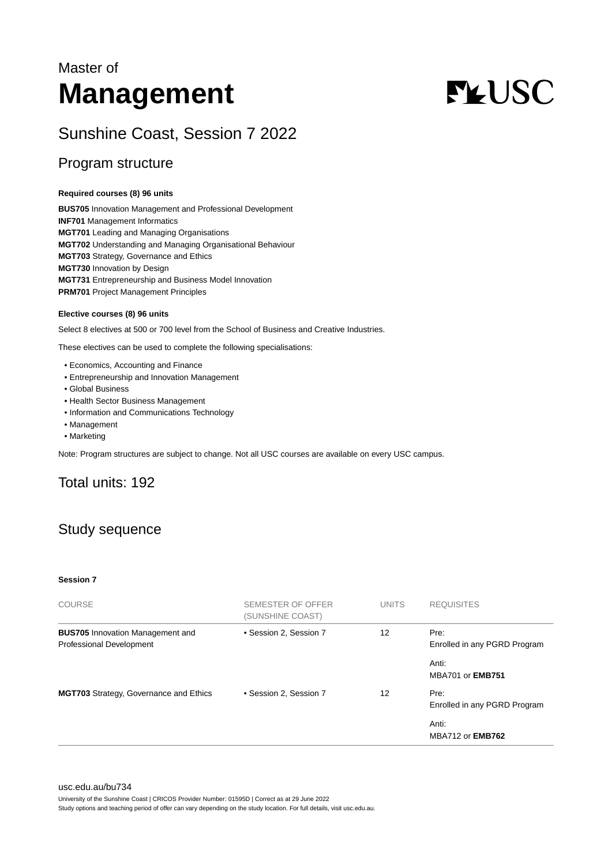# Master of **Management**

# **FLUSC**

# Sunshine Coast, Session 7 2022

### Program structure

#### **Required courses (8) 96 units**

**BUS705** Innovation Management and Professional Development **INF701** Management Informatics **MGT701** Leading and Managing Organisations **MGT702** Understanding and Managing Organisational Behaviour **MGT703** Strategy, Governance and Ethics **MGT730** Innovation by Design **MGT731** Entrepreneurship and Business Model Innovation **PRM701** Project Management Principles

#### **Elective courses (8) 96 units**

Select 8 electives at 500 or 700 level from the School of Business and Creative Industries.

These electives can be used to complete the following specialisations:

- Economics, Accounting and Finance
- Entrepreneurship and Innovation Management
- Global Business
- Health Sector Business Management
- Information and Communications Technology
- Management
- Marketing

Note: Program structures are subject to change. Not all USC courses are available on every USC campus.

# Total units: 192

# Study sequence

#### **Session 7**

| <b>COURSE</b>                                                              | SEMESTER OF OFFER<br>(SUNSHINE COAST) | <b>UNITS</b> | <b>REQUISITES</b>                    |
|----------------------------------------------------------------------------|---------------------------------------|--------------|--------------------------------------|
| <b>BUS705</b> Innovation Management and<br><b>Professional Development</b> | • Session 2, Session 7                | 12           | Pre:<br>Enrolled in any PGRD Program |
|                                                                            |                                       |              | Anti:<br><b>MBA701 or EMB751</b>     |
| MGT703 Strategy, Governance and Ethics                                     | • Session 2, Session 7                | 12           | Pre:<br>Enrolled in any PGRD Program |
|                                                                            |                                       |              | Anti:<br><b>MBA712 or EMB762</b>     |

University of the Sunshine Coast | CRICOS Provider Number: 01595D | Correct as at 29 June 2022

Study options and teaching period of offer can vary depending on the study location. For full details, visit usc.edu.au.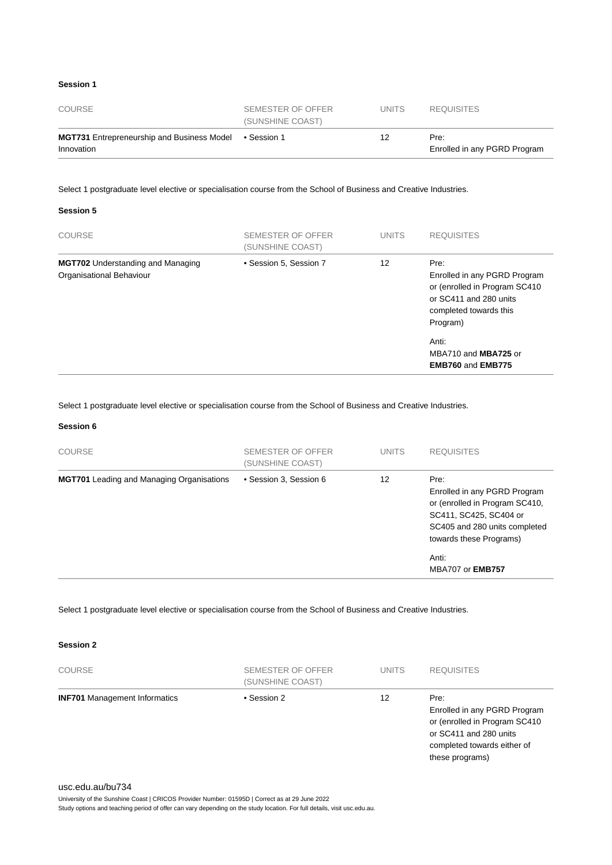#### **Session 1**

| COURSE                                                          | SEMESTER OF OFFER<br>(SUNSHINE COAST) | UNITS. | <b>REQUISITES</b>                    |
|-----------------------------------------------------------------|---------------------------------------|--------|--------------------------------------|
| <b>MGT731</b> Entrepreneurship and Business Model<br>Innovation | ● Session 1                           | 12     | Pre:<br>Enrolled in any PGRD Program |

Select 1 postgraduate level elective or specialisation course from the School of Business and Creative Industries.

#### **Session 5**

| <b>COURSE</b>                                                        | SEMESTER OF OFFER<br>(SUNSHINE COAST) | <b>UNITS</b> | <b>REQUISITES</b>                                                                                                                     |
|----------------------------------------------------------------------|---------------------------------------|--------------|---------------------------------------------------------------------------------------------------------------------------------------|
| <b>MGT702</b> Understanding and Managing<br>Organisational Behaviour | • Session 5, Session 7                | 12           | Pre:<br>Enrolled in any PGRD Program<br>or (enrolled in Program SC410<br>or SC411 and 280 units<br>completed towards this<br>Program) |
|                                                                      |                                       |              | Anti:<br>MBA710 and MBA725 or<br><b>EMB760 and EMB775</b>                                                                             |

Select 1 postgraduate level elective or specialisation course from the School of Business and Creative Industries.

#### **Session 6**

| <b>COURSE</b>                                    | SEMESTER OF OFFER<br>(SUNSHINE COAST) | <b>UNITS</b> | <b>REQUISITES</b>                                                                                                                                            |
|--------------------------------------------------|---------------------------------------|--------------|--------------------------------------------------------------------------------------------------------------------------------------------------------------|
| <b>MGT701</b> Leading and Managing Organisations | • Session 3, Session 6                | 12           | Pre:<br>Enrolled in any PGRD Program<br>or (enrolled in Program SC410,<br>SC411, SC425, SC404 or<br>SC405 and 280 units completed<br>towards these Programs) |
|                                                  |                                       |              | Anti:<br><b>MBA707 or EMB757</b>                                                                                                                             |

Select 1 postgraduate level elective or specialisation course from the School of Business and Creative Industries.

#### **Session 2**

| <b>COURSE</b>                        | SEMESTER OF OFFER<br>(SUNSHINE COAST) | <b>UNITS</b> | <b>REQUISITES</b>                                                                                                                                 |
|--------------------------------------|---------------------------------------|--------------|---------------------------------------------------------------------------------------------------------------------------------------------------|
| <b>INF701</b> Management Informatics | • Session 2                           | 12           | Pre:<br>Enrolled in any PGRD Program<br>or (enrolled in Program SC410<br>or SC411 and 280 units<br>completed towards either of<br>these programs) |

#### [usc.edu.au/bu734](https://www.usc.edu.au/bu734)

University of the Sunshine Coast | CRICOS Provider Number: 01595D | Correct as at 29 June 2022

Study options and teaching period of offer can vary depending on the study location. For full details, visit usc.edu.au.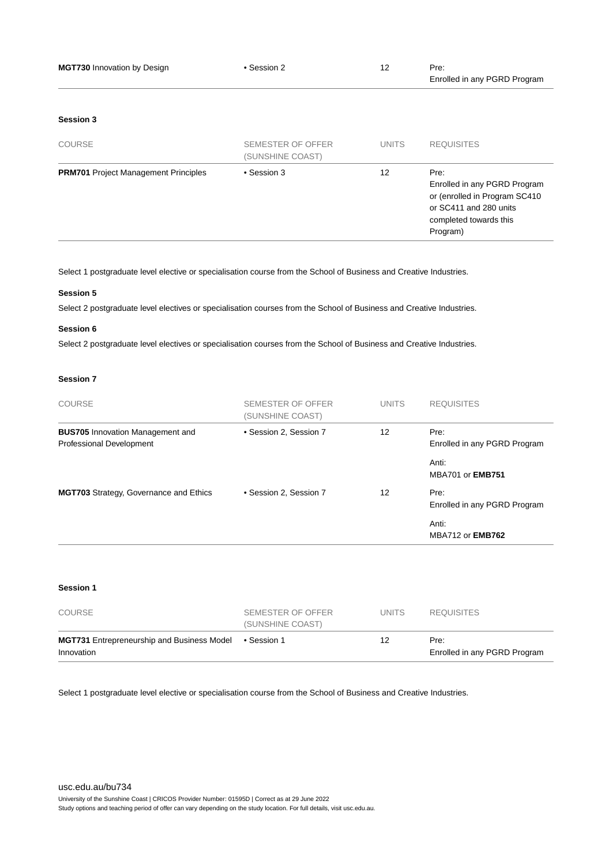| <b>MGT730 Innovation by Design</b>          | • Session 2                                  | 12           | Pre:<br>Enrolled in any PGRD Program                                                                                                  |
|---------------------------------------------|----------------------------------------------|--------------|---------------------------------------------------------------------------------------------------------------------------------------|
| Session 3                                   |                                              |              |                                                                                                                                       |
| <b>COURSE</b>                               | <b>SEMESTER OF OFFER</b><br>(SUNSHINE COAST) | <b>UNITS</b> | <b>REQUISITES</b>                                                                                                                     |
| <b>PRM701</b> Project Management Principles | • Session 3                                  | 12           | Pre:<br>Enrolled in any PGRD Program<br>or (enrolled in Program SC410<br>or SC411 and 280 units<br>completed towards this<br>Program) |

Select 1 postgraduate level elective or specialisation course from the School of Business and Creative Industries.

#### **Session 5**

Select 2 postgraduate level electives or specialisation courses from the School of Business and Creative Industries.

#### **Session 6**

Select 2 postgraduate level electives or specialisation courses from the School of Business and Creative Industries.

#### **Session 7**

| <b>COURSE</b>                                                       | SEMESTER OF OFFER<br>(SUNSHINE COAST) | <b>UNITS</b> | <b>REQUISITES</b>                    |
|---------------------------------------------------------------------|---------------------------------------|--------------|--------------------------------------|
| <b>BUS705</b> Innovation Management and<br>Professional Development | • Session 2, Session 7                | 12           | Pre:<br>Enrolled in any PGRD Program |
|                                                                     |                                       |              | Anti:<br><b>MBA701 or EMB751</b>     |
| <b>MGT703</b> Strategy, Governance and Ethics                       | • Session 2, Session 7                | 12           | Pre:<br>Enrolled in any PGRD Program |
|                                                                     |                                       |              | Anti:<br>MBA712 or <b>EMB762</b>     |

#### **Session 1**

| COURSE                                                          | SEMESTER OF OFFER<br>(SUNSHINE COAST) | UNITS. | <b>REQUISITES</b>                    |
|-----------------------------------------------------------------|---------------------------------------|--------|--------------------------------------|
| <b>MGT731</b> Entrepreneurship and Business Model<br>Innovation | ● Session 1                           | 12     | Pre:<br>Enrolled in any PGRD Program |

Select 1 postgraduate level elective or specialisation course from the School of Business and Creative Industries.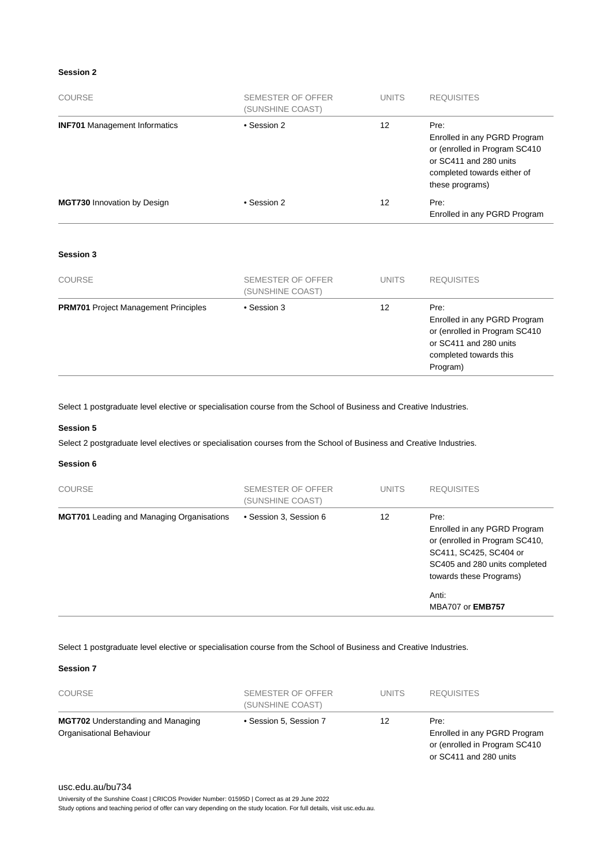#### **Session 2**

| COURSE                               | SEMESTER OF OFFER<br>(SUNSHINE COAST) | <b>UNITS</b> | <b>REQUISITES</b>                                                                                                                                 |
|--------------------------------------|---------------------------------------|--------------|---------------------------------------------------------------------------------------------------------------------------------------------------|
| <b>INF701</b> Management Informatics | • Session 2                           | 12           | Pre:<br>Enrolled in any PGRD Program<br>or (enrolled in Program SC410<br>or SC411 and 280 units<br>completed towards either of<br>these programs) |
| <b>MGT730</b> Innovation by Design   | • Session 2                           | 12           | Pre:<br>Enrolled in any PGRD Program                                                                                                              |

#### **Session 3**

| <b>COURSE</b>                               | SEMESTER OF OFFER<br>(SUNSHINE COAST) | <b>UNITS</b> | <b>REQUISITES</b>                                                                                                                     |
|---------------------------------------------|---------------------------------------|--------------|---------------------------------------------------------------------------------------------------------------------------------------|
| <b>PRM701</b> Project Management Principles | • Session 3                           | 12           | Pre:<br>Enrolled in any PGRD Program<br>or (enrolled in Program SC410<br>or SC411 and 280 units<br>completed towards this<br>Program) |

Select 1 postgraduate level elective or specialisation course from the School of Business and Creative Industries.

#### **Session 5**

Select 2 postgraduate level electives or specialisation courses from the School of Business and Creative Industries.

#### **Session 6**

| <b>COURSE</b>                                    | SEMESTER OF OFFER<br>(SUNSHINE COAST) | <b>UNITS</b> | <b>REQUISITES</b>                                                                                                                                            |
|--------------------------------------------------|---------------------------------------|--------------|--------------------------------------------------------------------------------------------------------------------------------------------------------------|
| <b>MGT701</b> Leading and Managing Organisations | • Session 3, Session 6                | 12           | Pre:<br>Enrolled in any PGRD Program<br>or (enrolled in Program SC410,<br>SC411, SC425, SC404 or<br>SC405 and 280 units completed<br>towards these Programs) |
|                                                  |                                       |              | Anti:<br><b>MBA707 or EMB757</b>                                                                                                                             |

#### Select 1 postgraduate level elective or specialisation course from the School of Business and Creative Industries.

**Session 7**

| <b>COURSE</b>                                                        | SEMESTER OF OFFER<br>(SUNSHINE COAST) | <b>UNITS</b> | <b>REQUISITES</b>                                                                                |
|----------------------------------------------------------------------|---------------------------------------|--------------|--------------------------------------------------------------------------------------------------|
| <b>MGT702</b> Understanding and Managing<br>Organisational Behaviour | • Session 5, Session 7                | 12           | Pre:<br>Enrolled in any PGRD Program<br>or (enrolled in Program SC410)<br>or SC411 and 280 units |

#### [usc.edu.au/bu734](https://www.usc.edu.au/bu734)

University of the Sunshine Coast | CRICOS Provider Number: 01595D | Correct as at 29 June 2022 Study options and teaching period of offer can vary depending on the study location. For full details, visit usc.edu.au.